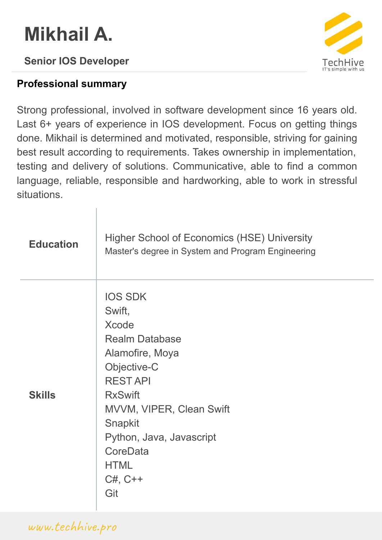# **Mikhail A.**

### **Senior IOS Developer**





Strong professional, involved in software development since 16 years old. Last 6+ years of experience in IOS development. Focus on getting things done. Mikhail is determined and motivated, responsible, striving for gaining best result according to requirements. Takes ownership in implementation, testing and delivery of solutions. Communicative, able to find a common language, reliable, responsible and hardworking, able to work in stressful situations.

| <b>Education</b> | Higher School of Economics (HSE) University<br>Master's degree in System and Program Engineering                                                                                                                                                             |
|------------------|--------------------------------------------------------------------------------------------------------------------------------------------------------------------------------------------------------------------------------------------------------------|
| <b>Skills</b>    | <b>IOS SDK</b><br>Swift,<br><b>Xcode</b><br><b>Realm Database</b><br>Alamofire, Moya<br>Objective-C<br><b>RESTAPI</b><br><b>RxSwift</b><br>MVVM, VIPER, Clean Swift<br>Snapkit<br>Python, Java, Javascript<br>CoreData<br><b>HTML</b><br>$C#$ , $C++$<br>Git |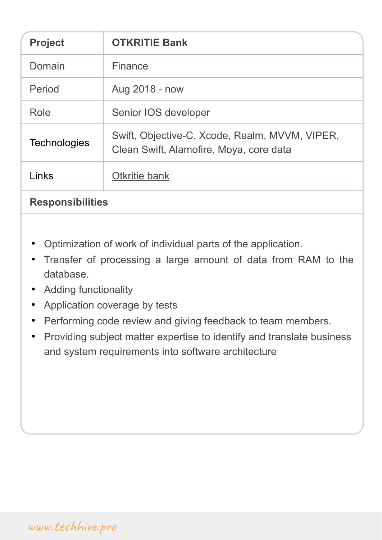| <b>OTKRITIE Bank</b>                                                                      |
|-------------------------------------------------------------------------------------------|
| Finance                                                                                   |
| Aug 2018 - now                                                                            |
| Senior IOS developer                                                                      |
| Swift, Objective-C, Xcode, Realm, MVVM, VIPER,<br>Clean Swift, Alamofire, Moya, core data |
| Otkritie bank                                                                             |
|                                                                                           |

### **Responsibilities**

- Optimization of work of individual parts of the application.
- Transfer of processing a large amount of data from RAM to the database.
- Adding functionality
- Application coverage by tests
- Performing code review and giving feedback to team members.
- Providing subject matter expertise to identify and translate business and system requirements into software architecture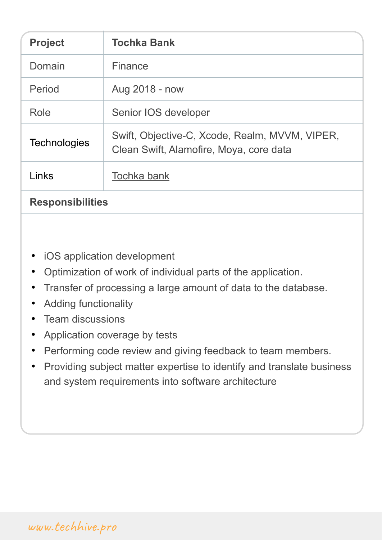| <b>Project</b>          | <b>Tochka Bank</b>                                                                        |
|-------------------------|-------------------------------------------------------------------------------------------|
| Domain                  | Finance                                                                                   |
| Period                  | Aug 2018 - now                                                                            |
| Role                    | Senior IOS developer                                                                      |
| <b>Technologies</b>     | Swift, Objective-C, Xcode, Realm, MVVM, VIPER,<br>Clean Swift, Alamofire, Moya, core data |
| Links                   | Tochka bank                                                                               |
| <b>Responsibilities</b> |                                                                                           |

- iOS application development
- Optimization of work of individual parts of the application.
- Transfer of processing a large amount of data to the database.
- Adding functionality
- Team discussions
- Application coverage by tests
- Performing code review and giving feedback to team members.
- Providing subject matter expertise to identify and translate business and system requirements into software architecture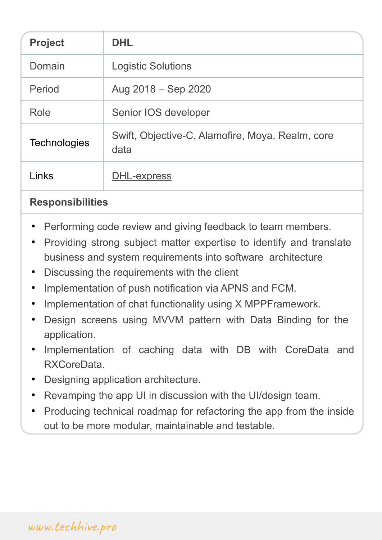| <b>Project</b>      | <b>DHL</b>                                               |
|---------------------|----------------------------------------------------------|
| Domain              | <b>Logistic Solutions</b>                                |
| Period              | Aug 2018 – Sep 2020                                      |
| Role                | Senior IOS developer                                     |
| <b>Technologies</b> | Swift, Objective-C, Alamofire, Moya, Realm, core<br>data |
| Links               | DHL-express                                              |

### **Responsibilities**

- Performing code review and giving feedback to team members.
- Providing strong subject matter expertise to identify and translate business and system requirements into software architecture
- Discussing the requirements with the client
- Implementation of push notification via APNS and FCM.
- Implementation of chat functionality using X MPPFramework.
- Design screens using MVVM pattern with Data Binding for the application.
- Implementation of caching data with DB with CoreData and RXCoreData.
- Designing application architecture.
- Revamping the app UI in discussion with the UI/design team.
- Producing technical roadmap for refactoring the app from the inside out to be more modular, maintainable and testable.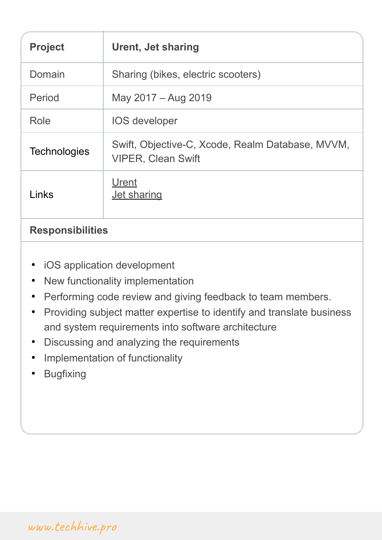| <b>Project</b>          | <b>Urent, Jet sharing</b>                                                     |
|-------------------------|-------------------------------------------------------------------------------|
| Domain                  | Sharing (bikes, electric scooters)                                            |
| Period                  | May 2017 – Aug 2019                                                           |
| Role                    | <b>IOS</b> developer                                                          |
| <b>Technologies</b>     | Swift, Objective-C, Xcode, Realm Database, MVVM,<br><b>VIPER, Clean Swift</b> |
| Links                   | Urent<br><b>Jet sharing</b>                                                   |
| <b>Responsibilities</b> |                                                                               |

- 
- iOS application development • New functionality implementation
- Performing code review and giving feedback to team members.
- Providing subject matter expertise to identify and translate business and system requirements into software architecture
- Discussing and analyzing the requirements
- Implementation of functionality
- Bugfixing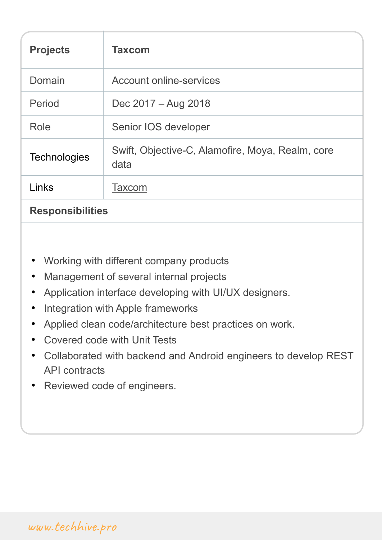| <b>Projects</b>         | <b>Taxcom</b>                                            |
|-------------------------|----------------------------------------------------------|
| Domain                  | <b>Account online-services</b>                           |
| Period                  | Dec 2017 – Aug 2018                                      |
| Role                    | Senior IOS developer                                     |
| <b>Technologies</b>     | Swift, Objective-C, Alamofire, Moya, Realm, core<br>data |
| Links                   | <b>Taxcom</b>                                            |
| <b>Responsibilities</b> |                                                          |

- Working with different company products
- Management of several internal projects
- Application interface developing with UI/UX designers.
- Integration with Apple frameworks
- Applied clean code/architecture best practices on work.
- Covered code with Unit Tests
- Collaborated with backend and Android engineers to develop REST API contracts
- Reviewed code of engineers.